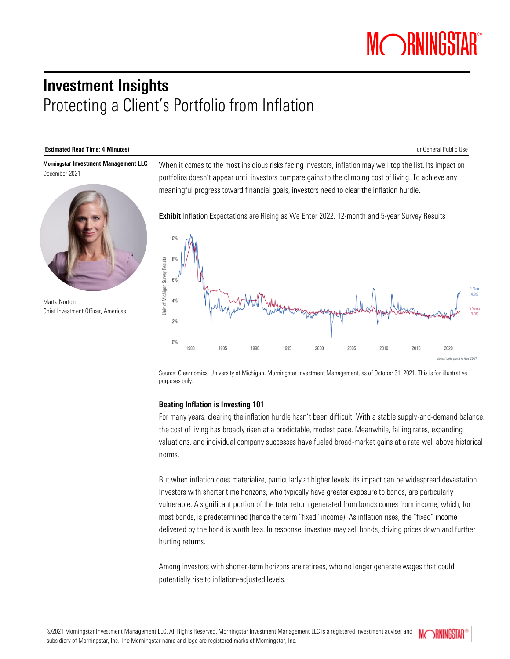# Investment Insights Protecting a Client's Portfolio from Inflation

#### (Estimated Read Time: 4 Minutes) **For General Public Use For General Public Use**

Morningstar Investment Management LLC December 2021



Marta Norton Chief Investment Officer, Americas

When it comes to the most insidious risks facing investors, inflation may well top the list. Its impact on portfolios doesn't appear until investors compare gains to the climbing cost of living. To achieve any meaningful progress toward financial goals, investors need to clear the inflation hurdle.



Source: Clearnomics, University of Michigan, Morningstar Investment Management, as of October 31, 2021. This is for illustrative purposes only.

# Beating Inflation is Investing 101

For many years, clearing the inflation hurdle hasn't been difficult. With a stable supply-and-demand balance, the cost of living has broadly risen at a predictable, modest pace. Meanwhile, falling rates, expanding valuations, and individual company successes have fueled broad-market gains at a rate well above historical norms.

But when inflation does materialize, particularly at higher levels, its impact can be widespread devastation. Investors with shorter time horizons, who typically have greater exposure to bonds, are particularly vulnerable. A significant portion of the total return generated from bonds comes from income, which, for most bonds, is predetermined (hence the term "fixed" income). As inflation rises, the "fixed" income delivered by the bond is worth less. In response, investors may sell bonds, driving prices down and further hurting returns.

Among investors with shorter-term horizons are retirees, who no longer generate wages that could potentially rise to inflation-adjusted levels.

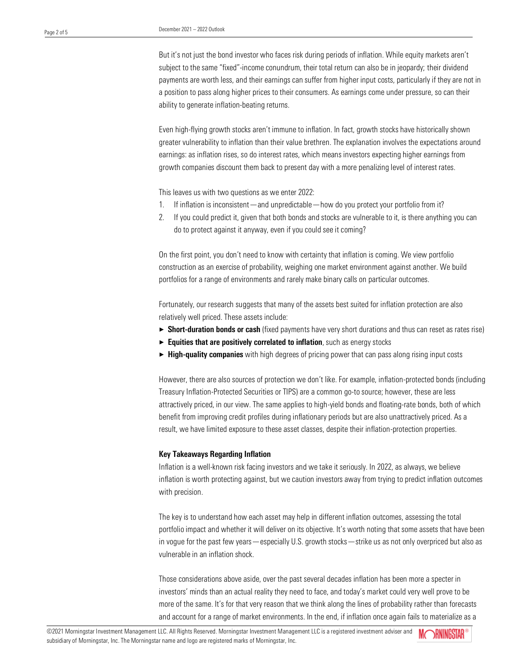But it's not just the bond investor who faces risk during periods of inflation. While equity markets aren't subject to the same "fixed"-income conundrum, their total return can also be in jeopardy; their dividend payments are worth less, and their earnings can suffer from higher input costs, particularly if they are not in a position to pass along higher prices to their consumers. As earnings come under pressure, so can their ability to generate inflation-beating returns.

Even high-flying growth stocks aren't immune to inflation. In fact, growth stocks have historically shown greater vulnerability to inflation than their value brethren. The explanation involves the expectations around earnings: as inflation rises, so do interest rates, which means investors expecting higher earnings from growth companies discount them back to present day with a more penalizing level of interest rates.

This leaves us with two questions as we enter 2022:

- 1. If inflation is inconsistent—and unpredictable—how do you protect your portfolio from it?
- 2. If you could predict it, given that both bonds and stocks are vulnerable to it, is there anything you can do to protect against it anyway, even if you could see it coming?

On the first point, you don't need to know with certainty that inflation is coming. We view portfolio construction as an exercise of probability, weighing one market environment against another. We build portfolios for a range of environments and rarely make binary calls on particular outcomes.

Fortunately, our research suggests that many of the assets best suited for inflation protection are also relatively well priced. These assets include:

- ► Short-duration bonds or cash (fixed payments have very short durations and thus can reset as rates rise)
- $\blacktriangleright$  Equities that are positively correlated to inflation, such as energy stocks
- $\blacktriangleright$  High-quality companies with high degrees of pricing power that can pass along rising input costs

However, there are also sources of protection we don't like. For example, inflation-protected bonds (including Treasury Inflation-Protected Securities or TIPS) are a common go-to source; however, these are less attractively priced, in our view. The same applies to high-yield bonds and floating-rate bonds, both of which benefit from improving credit profiles during inflationary periods but are also unattractively priced. As a result, we have limited exposure to these asset classes, despite their inflation-protection properties.

## Key Takeaways Regarding Inflation

Inflation is a well-known risk facing investors and we take it seriously. In 2022, as always, we believe inflation is worth protecting against, but we caution investors away from trying to predict inflation outcomes with precision.

The key is to understand how each asset may help in different inflation outcomes, assessing the total portfolio impact and whether it will deliver on its objective. It's worth noting that some assets that have been in vogue for the past few years—especially U.S. growth stocks—strike us as not only overpriced but also as vulnerable in an inflation shock.

Those considerations above aside, over the past several decades inflation has been more a specter in investors' minds than an actual reality they need to face, and today's market could very well prove to be more of the same. It's for that very reason that we think along the lines of probability rather than forecasts and account for a range of market environments. In the end, if inflation once again fails to materialize as a

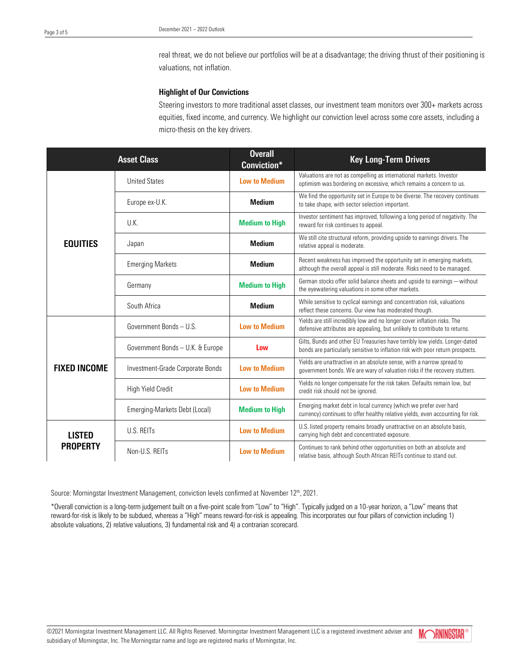real threat, we do not believe our portfolios will be at a disadvantage; the driving thrust of their positioning is valuations, not inflation.

# Highlight of Our Convictions

Steering investors to more traditional asset classes, our investment team monitors over 300+ markets across equities, fixed income, and currency. We highlight our conviction level across some core assets, including a micro-thesis on the key drivers.

| <b>Asset Class</b>               |                                  | <b>Overall</b><br>Conviction* | <b>Key Long-Term Drivers</b>                                                                                                                                  |
|----------------------------------|----------------------------------|-------------------------------|---------------------------------------------------------------------------------------------------------------------------------------------------------------|
| <b>EQUITIES</b>                  | <b>United States</b>             | <b>Low to Medium</b>          | Valuations are not as compelling as international markets. Investor<br>optimism was bordering on excessive, which remains a concern to us.                    |
|                                  | Europe ex-U.K.                   | <b>Medium</b>                 | We find the opportunity set in Europe to be diverse. The recovery continues<br>to take shape, with sector selection important.                                |
|                                  | U.K.                             | <b>Medium to High</b>         | Investor sentiment has improved, following a long period of negativity. The<br>reward for risk continues to appeal.                                           |
|                                  | Japan                            | <b>Medium</b>                 | We still cite structural reform, providing upside to earnings drivers. The<br>relative appeal is moderate.                                                    |
|                                  | <b>Emerging Markets</b>          | <b>Medium</b>                 | Recent weakness has improved the opportunity set in emerging markets,<br>although the overall appeal is still moderate. Risks need to be managed.             |
|                                  | Germany                          | <b>Medium to High</b>         | German stocks offer solid balance sheets and upside to earnings - without<br>the eyewatering valuations in some other markets.                                |
|                                  | South Africa                     | <b>Medium</b>                 | While sensitive to cyclical earnings and concentration risk, valuations<br>reflect these concerns. Our view has moderated though.                             |
| <b>FIXED INCOME</b>              | Government Bonds - U.S.          | <b>Low to Medium</b>          | Yields are still incredibly low and no longer cover inflation risks. The<br>defensive attributes are appealing, but unlikely to contribute to returns.        |
|                                  | Government Bonds - U.K. & Europe | Low                           | Gilts, Bunds and other EU Treasuries have terribly low yields. Longer-dated<br>bonds are particularly sensitive to inflation risk with poor return prospects. |
|                                  | Investment-Grade Corporate Bonds | <b>Low to Medium</b>          | Yields are unattractive in an absolute sense, with a narrow spread to<br>government bonds. We are wary of valuation risks if the recovery stutters.           |
|                                  | <b>High Yield Credit</b>         | <b>Low to Medium</b>          | Yields no longer compensate for the risk taken. Defaults remain low, but<br>credit risk should not be ignored.                                                |
|                                  | Emerging-Markets Debt (Local)    | <b>Medium to High</b>         | Emerging market debt in local currency (which we prefer over hard<br>currency) continues to offer healthy relative yields, even accounting for risk.          |
| <b>LISTED</b><br><b>PROPERTY</b> | U.S. REITs                       | <b>Low to Medium</b>          | U.S. listed property remains broadly unattractive on an absolute basis,<br>carrying high debt and concentrated exposure.                                      |
|                                  | Non-U.S. REITs                   | <b>Low to Medium</b>          | Continues to rank behind other opportunities on both an absolute and<br>relative basis, although South African REITs continue to stand out.                   |

Source: Morningstar Investment Management, conviction levels confirmed at November 12<sup>th</sup>, 2021.

\*Overall conviction is a long-term judgement built on a five-point scale from "Low" to "High". Typically judged on a 10-year horizon, a "Low" means that reward-for-risk is likely to be subdued, whereas a "High" means reward-for-risk is appealing. This incorporates our four pillars of conviction including 1) absolute valuations, 2) relative valuations, 3) fundamental risk and 4) a contrarian scorecard.

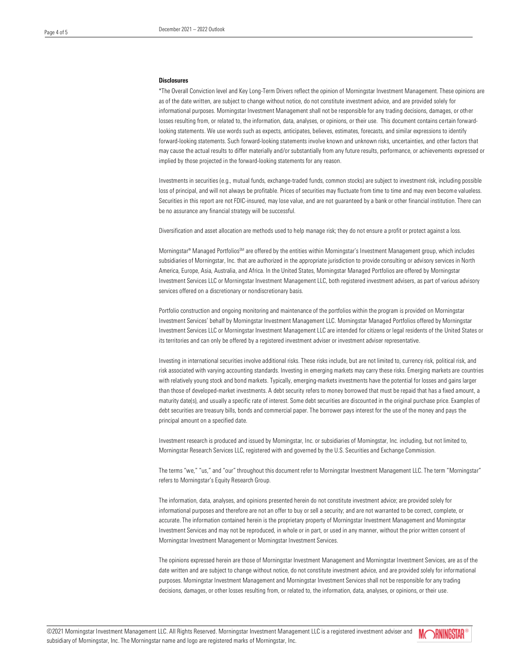#### **Disclosures**

\*The Overall Conviction level and Key Long-Term Drivers reflect the opinion of Morningstar Investment Management. These opinions are as of the date written, are subject to change without notice, do not constitute investment advice, and are provided solely for informational purposes. Morningstar Investment Management shall not be responsible for any trading decisions, damages, or other losses resulting from, or related to, the information, data, analyses, or opinions, or their use. This document contains certain forwardlooking statements. We use words such as expects, anticipates, believes, estimates, forecasts, and similar expressions to identify forward-looking statements. Such forward-looking statements involve known and unknown risks, uncertainties, and other factors that may cause the actual results to differ materially and/or substantially from any future results, performance, or achievements expressed or implied by those projected in the forward-looking statements for any reason.

Investments in securities (e.g., mutual funds, exchange-traded funds, common stocks) are subject to investment risk, including possible loss of principal, and will not always be profitable. Prices of securities may fluctuate from time to time and may even become valueless. Securities in this report are not FDIC-insured, may lose value, and are not guaranteed by a bank or other financial institution. There can be no assurance any financial strategy will be successful.

Diversification and asset allocation are methods used to help manage risk; they do not ensure a profit or protect against a loss.

Morningstar® Managed PortfoliosSM are offered by the entities within Morningstar's Investment Management group, which includes subsidiaries of Morningstar, Inc. that are authorized in the appropriate jurisdiction to provide consulting or advisory services in North America, Europe, Asia, Australia, and Africa. In the United States, Morningstar Managed Portfolios are offered by Morningstar Investment Services LLC or Morningstar Investment Management LLC, both registered investment advisers, as part of various advisory services offered on a discretionary or nondiscretionary basis.

Portfolio construction and ongoing monitoring and maintenance of the portfolios within the program is provided on Morningstar Investment Services' behalf by Morningstar Investment Management LLC. Morningstar Managed Portfolios offered by Morningstar Investment Services LLC or Morningstar Investment Management LLC are intended for citizens or legal residents of the United States or its territories and can only be offered by a registered investment adviser or investment adviser representative.

Investing in international securities involve additional risks. These risks include, but are not limited to, currency risk, political risk, and risk associated with varying accounting standards. Investing in emerging markets may carry these risks. Emerging markets are countries with relatively young stock and bond markets. Typically, emerging-markets investments have the potential for losses and gains larger than those of developed-market investments. A debt security refers to money borrowed that must be repaid that has a fixed amount, a maturity date(s), and usually a specific rate of interest. Some debt securities are discounted in the original purchase price. Examples of debt securities are treasury bills, bonds and commercial paper. The borrower pays interest for the use of the money and pays the principal amount on a specified date.

Investment research is produced and issued by Morningstar, Inc. or subsidiaries of Morningstar, Inc. including, but not limited to, Morningstar Research Services LLC, registered with and governed by the U.S. Securities and Exchange Commission.

The terms "we," "us," and "our" throughout this document refer to Morningstar Investment Management LLC. The term "Morningstar" refers to Morningstar's Equity Research Group.

The information, data, analyses, and opinions presented herein do not constitute investment advice; are provided solely for informational purposes and therefore are not an offer to buy or sell a security; and are not warranted to be correct, complete, or accurate. The information contained herein is the proprietary property of Morningstar Investment Management and Morningstar Investment Services and may not be reproduced, in whole or in part, or used in any manner, without the prior written consent of Morningstar Investment Management or Morningstar Investment Services.

The opinions expressed herein are those of Morningstar Investment Management and Morningstar Investment Services, are as of the date written and are subject to change without notice, do not constitute investment advice, and are provided solely for informational purposes. Morningstar Investment Management and Morningstar Investment Services shall not be responsible for any trading decisions, damages, or other losses resulting from, or related to, the information, data, analyses, or opinions, or their use.